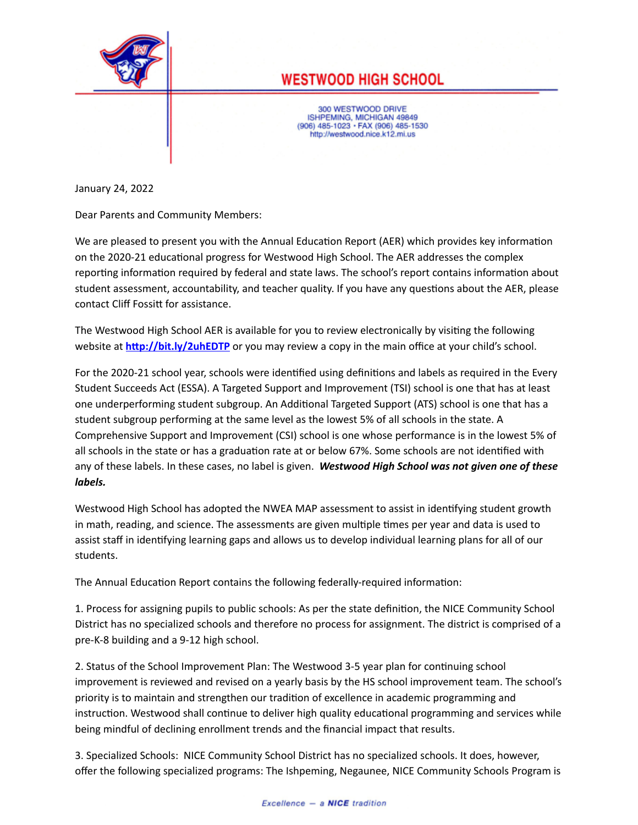

## **WESTWOOD HIGH SCHOOL**

300 WESTWOOD DRIVE ISHPEMING, MICHIGAN 49849<br>(906) 485-1023 · FAX (906) 485-1530 http://westwood.nice.k12.mi.us

January 24, 2022

Dear Parents and Community Members:

We are pleased to present you with the Annual Education Report (AER) which provides key information on the 2020-21 educational progress for Westwood High School. The AER addresses the complex reporting information required by federal and state laws. The school's report contains information about student assessment, accountability, and teacher quality. If you have any questions about the AER, please contact Cliff Fossitt for assistance.

The Westwood High School AER is available for you to review electronically by visiting the following website at http://bit.ly/2uhEDTP or you may review a copy in the main office at your child's school.

For the 2020-21 school year, schools were identified using definitions and labels as required in the Every Student Succeeds Act (ESSA). A Targeted Support and Improvement (TSI) school is one that has at least one underperforming student subgroup. An Additional Targeted Support (ATS) school is one that has a student subgroup performing at the same level as the lowest 5% of all schools in the state. A Comprehensive Support and Improvement (CSI) school is one whose performance is in the lowest 5% of all schools in the state or has a graduation rate at or below 67%. Some schools are not identified with any of these labels. In these cases, no label is given. *Westwood High School was not given one of these labels.*

Westwood High School has adopted the NWEA MAP assessment to assist in identifying student growth in math, reading, and science. The assessments are given multiple times per year and data is used to assist staff in idenfying learning gaps and allows us to develop individual learning plans for all of our students.

The Annual Education Report contains the following federally-required information:

1. Process for assigning pupils to public schools: As per the state definition, the NICE Community School District has no specialized schools and therefore no process for assignment. The district is comprised of a pre-K-8 building and a 9-12 high school.

2. Status of the School Improvement Plan: The Westwood 3-5 year plan for continuing school improvement is reviewed and revised on a yearly basis by the HS school improvement team. The school's priority is to maintain and strengthen our tradion of excellence in academic programming and instruction. Westwood shall continue to deliver high quality educational programming and services while being mindful of declining enrollment trends and the financial impact that results.

3. Specialized Schools: NICE Community School District has no specialized schools. It does, however, offer the following specialized programs: The Ishpeming, Negaunee, NICE Community Schools Program is